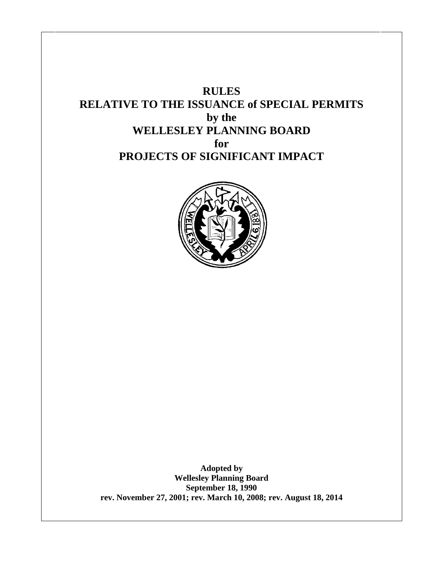# **RULES RELATIVE TO THE ISSUANCE of SPECIAL PERMITS by the WELLESLEY PLANNING BOARD for PROJECTS OF SIGNIFICANT IMPACT**



**Adopted by Wellesley Planning Board September 18, 1990 rev. November 27, 2001; rev. March 10, 2008; rev. August 18, 2014**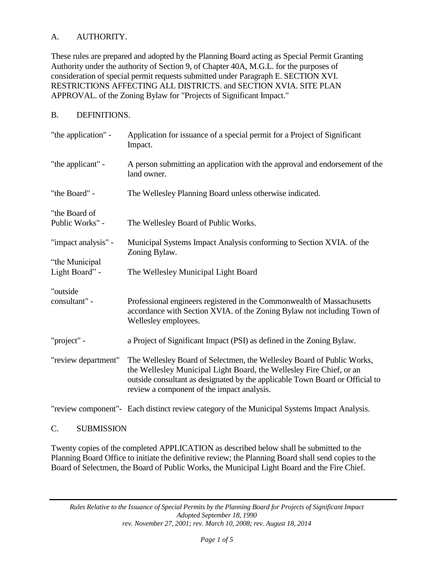# A. AUTHORITY.

These rules are prepared and adopted by the Planning Board acting as Special Permit Granting Authority under the authority of Section 9, of Chapter 40A, M.G.L. for the purposes of consideration of special permit requests submitted under Paragraph E. SECTION XVI. RESTRICTIONS AFFECTING ALL DISTRICTS. and SECTION XVIA. SITE PLAN APPROVAL. of the Zoning Bylaw for "Projects of Significant Impact."

#### B. DEFINITIONS.

| "the application" -              | Application for issuance of a special permit for a Project of Significant<br>Impact.                                                                                                                                                                                         |
|----------------------------------|------------------------------------------------------------------------------------------------------------------------------------------------------------------------------------------------------------------------------------------------------------------------------|
| "the applicant" -                | A person submitting an application with the approval and endorsement of the<br>land owner.                                                                                                                                                                                   |
| "the Board" -                    | The Wellesley Planning Board unless otherwise indicated.                                                                                                                                                                                                                     |
| "the Board of<br>Public Works" - | The Wellesley Board of Public Works.                                                                                                                                                                                                                                         |
| "impact analysis" -              | Municipal Systems Impact Analysis conforming to Section XVIA. of the<br>Zoning Bylaw.                                                                                                                                                                                        |
| "the Municipal<br>Light Board" - | The Wellesley Municipal Light Board                                                                                                                                                                                                                                          |
| "outside<br>consultant" -        | Professional engineers registered in the Commonwealth of Massachusetts<br>accordance with Section XVIA. of the Zoning Bylaw not including Town of<br>Wellesley employees.                                                                                                    |
| "project" -                      | a Project of Significant Impact (PSI) as defined in the Zoning Bylaw.                                                                                                                                                                                                        |
| "review department"              | The Wellesley Board of Selectmen, the Wellesley Board of Public Works,<br>the Wellesley Municipal Light Board, the Wellesley Fire Chief, or an<br>outside consultant as designated by the applicable Town Board or Official to<br>review a component of the impact analysis. |
|                                  | "review component"- Each distinct review category of the Municipal Systems Impact Analysis.                                                                                                                                                                                  |

## C. SUBMISSION

Twenty copies of the completed APPLICATION as described below shall be submitted to the Planning Board Office to initiate the definitive review; the Planning Board shall send copies to the Board of Selectmen, the Board of Public Works, the Municipal Light Board and the Fire Chief.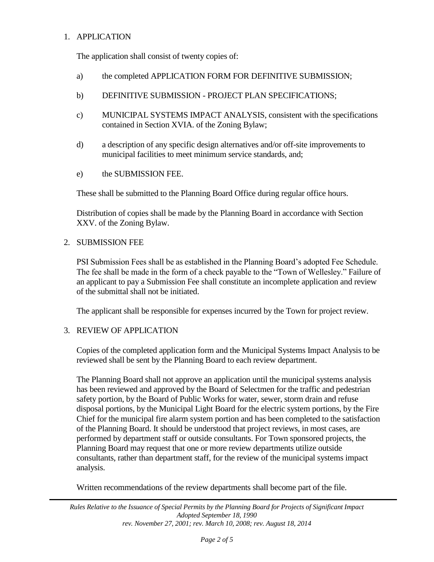### 1. APPLICATION

The application shall consist of twenty copies of:

- a) the completed APPLICATION FORM FOR DEFINITIVE SUBMISSION;
- b) DEFINITIVE SUBMISSION PROJECT PLAN SPECIFICATIONS;
- c) MUNICIPAL SYSTEMS IMPACT ANALYSIS, consistent with the specifications contained in Section XVIA. of the Zoning Bylaw;
- d) a description of any specific design alternatives and/or off-site improvements to municipal facilities to meet minimum service standards, and;
- e) the SUBMISSION FEE.

These shall be submitted to the Planning Board Office during regular office hours.

Distribution of copies shall be made by the Planning Board in accordance with Section XXV. of the Zoning Bylaw.

#### 2. SUBMISSION FEE

PSI Submission Fees shall be as established in the Planning Board's adopted Fee Schedule. The fee shall be made in the form of a check payable to the "Town of Wellesley." Failure of an applicant to pay a Submission Fee shall constitute an incomplete application and review of the submittal shall not be initiated.

The applicant shall be responsible for expenses incurred by the Town for project review.

#### 3. REVIEW OF APPLICATION

Copies of the completed application form and the Municipal Systems Impact Analysis to be reviewed shall be sent by the Planning Board to each review department.

The Planning Board shall not approve an application until the municipal systems analysis has been reviewed and approved by the Board of Selectmen for the traffic and pedestrian safety portion, by the Board of Public Works for water, sewer, storm drain and refuse disposal portions, by the Municipal Light Board for the electric system portions, by the Fire Chief for the municipal fire alarm system portion and has been completed to the satisfaction of the Planning Board. It should be understood that project reviews, in most cases, are performed by department staff or outside consultants. For Town sponsored projects, the Planning Board may request that one or more review departments utilize outside consultants, rather than department staff, for the review of the municipal systems impact analysis.

Written recommendations of the review departments shall become part of the file.

*Rules Relative to the Issuance of Special Permits by the Planning Board for Projects of Significant Impact Adopted September 18, 1990 rev. November 27, 2001; rev. March 10, 2008; rev. August 18, 2014*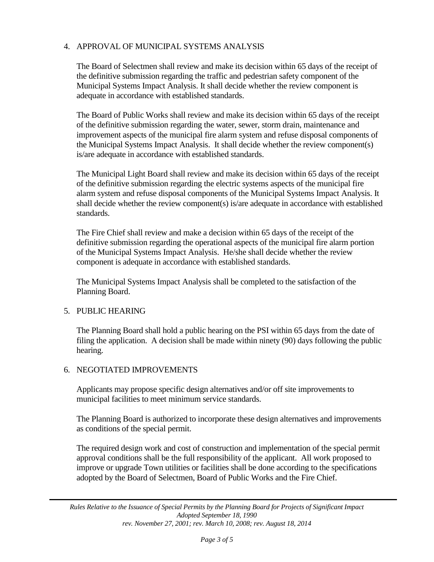## 4. APPROVAL OF MUNICIPAL SYSTEMS ANALYSIS

The Board of Selectmen shall review and make its decision within 65 days of the receipt of the definitive submission regarding the traffic and pedestrian safety component of the Municipal Systems Impact Analysis. It shall decide whether the review component is adequate in accordance with established standards.

The Board of Public Works shall review and make its decision within 65 days of the receipt of the definitive submission regarding the water, sewer, storm drain, maintenance and improvement aspects of the municipal fire alarm system and refuse disposal components of the Municipal Systems Impact Analysis. It shall decide whether the review component(s) is/are adequate in accordance with established standards.

The Municipal Light Board shall review and make its decision within 65 days of the receipt of the definitive submission regarding the electric systems aspects of the municipal fire alarm system and refuse disposal components of the Municipal Systems Impact Analysis. It shall decide whether the review component(s) is/are adequate in accordance with established standards.

The Fire Chief shall review and make a decision within 65 days of the receipt of the definitive submission regarding the operational aspects of the municipal fire alarm portion of the Municipal Systems Impact Analysis. He/she shall decide whether the review component is adequate in accordance with established standards.

The Municipal Systems Impact Analysis shall be completed to the satisfaction of the Planning Board.

#### 5. PUBLIC HEARING

The Planning Board shall hold a public hearing on the PSI within 65 days from the date of filing the application. A decision shall be made within ninety (90) days following the public hearing.

#### 6. NEGOTIATED IMPROVEMENTS

Applicants may propose specific design alternatives and/or off site improvements to municipal facilities to meet minimum service standards.

The Planning Board is authorized to incorporate these design alternatives and improvements as conditions of the special permit.

The required design work and cost of construction and implementation of the special permit approval conditions shall be the full responsibility of the applicant. All work proposed to improve or upgrade Town utilities or facilities shall be done according to the specifications adopted by the Board of Selectmen, Board of Public Works and the Fire Chief.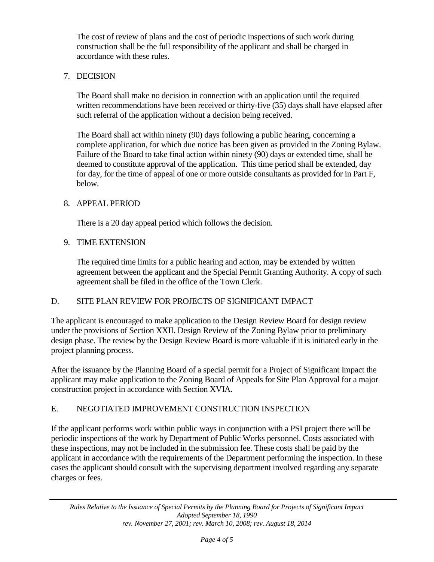The cost of review of plans and the cost of periodic inspections of such work during construction shall be the full responsibility of the applicant and shall be charged in accordance with these rules.

## 7. DECISION

The Board shall make no decision in connection with an application until the required written recommendations have been received or thirty-five (35) days shall have elapsed after such referral of the application without a decision being received.

The Board shall act within ninety (90) days following a public hearing, concerning a complete application, for which due notice has been given as provided in the Zoning Bylaw. Failure of the Board to take final action within ninety (90) days or extended time, shall be deemed to constitute approval of the application. This time period shall be extended, day for day, for the time of appeal of one or more outside consultants as provided for in Part F, below.

## 8. APPEAL PERIOD

There is a 20 day appeal period which follows the decision.

## 9. TIME EXTENSION

The required time limits for a public hearing and action, may be extended by written agreement between the applicant and the Special Permit Granting Authority. A copy of such agreement shall be filed in the office of the Town Clerk.

# D. SITE PLAN REVIEW FOR PROJECTS OF SIGNIFICANT IMPACT

The applicant is encouraged to make application to the Design Review Board for design review under the provisions of Section XXII. Design Review of the Zoning Bylaw prior to preliminary design phase. The review by the Design Review Board is more valuable if it is initiated early in the project planning process.

After the issuance by the Planning Board of a special permit for a Project of Significant Impact the applicant may make application to the Zoning Board of Appeals for Site Plan Approval for a major construction project in accordance with Section XVIA.

# E. NEGOTIATED IMPROVEMENT CONSTRUCTION INSPECTION

If the applicant performs work within public ways in conjunction with a PSI project there will be periodic inspections of the work by Department of Public Works personnel. Costs associated with these inspections, may not be included in the submission fee. These costs shall be paid by the applicant in accordance with the requirements of the Department performing the inspection. In these cases the applicant should consult with the supervising department involved regarding any separate charges or fees.